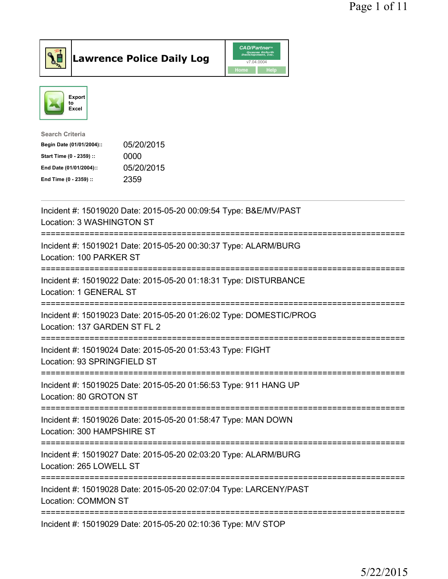

Lawrence Police Daily Log CAD/Partners



| Search Criteria           |            |
|---------------------------|------------|
| Begin Date (01/01/2004):: | 05/20/2015 |
| Start Time (0 - 2359) ::  | 0000       |
| End Date (01/01/2004)::   | 05/20/2015 |
| End Time (0 - 2359) ::    | 2359       |
|                           |            |

| Incident #: 15019020 Date: 2015-05-20 00:09:54 Type: B&E/MV/PAST<br>Location: 3 WASHINGTON ST                       |
|---------------------------------------------------------------------------------------------------------------------|
| Incident #: 15019021 Date: 2015-05-20 00:30:37 Type: ALARM/BURG<br>Location: 100 PARKER ST<br>-------------         |
| Incident #: 15019022 Date: 2015-05-20 01:18:31 Type: DISTURBANCE<br>Location: 1 GENERAL ST<br>------------------    |
| Incident #: 15019023 Date: 2015-05-20 01:26:02 Type: DOMESTIC/PROG<br>Location: 137 GARDEN ST FL 2<br>------------  |
| Incident #: 15019024 Date: 2015-05-20 01:53:43 Type: FIGHT<br>Location: 93 SPRINGFIELD ST<br>=================      |
| Incident #: 15019025 Date: 2015-05-20 01:56:53 Type: 911 HANG UP<br>Location: 80 GROTON ST                          |
| Incident #: 15019026 Date: 2015-05-20 01:58:47 Type: MAN DOWN                                                       |
| Location: 300 HAMPSHIRE ST                                                                                          |
| Incident #: 15019027 Date: 2015-05-20 02:03:20 Type: ALARM/BURG<br>Location: 265 LOWELL ST                          |
| ================<br>Incident #: 15019028 Date: 2015-05-20 02:07:04 Type: LARCENY/PAST<br><b>Location: COMMON ST</b> |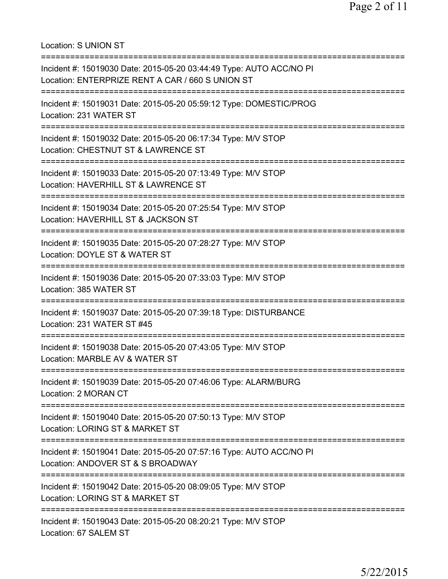Location: S UNION ST

| Incident #: 15019030 Date: 2015-05-20 03:44:49 Type: AUTO ACC/NO PI<br>Location: ENTERPRIZE RENT A CAR / 660 S UNION ST |
|-------------------------------------------------------------------------------------------------------------------------|
| Incident #: 15019031 Date: 2015-05-20 05:59:12 Type: DOMESTIC/PROG<br>Location: 231 WATER ST                            |
| Incident #: 15019032 Date: 2015-05-20 06:17:34 Type: M/V STOP<br>Location: CHESTNUT ST & LAWRENCE ST                    |
| Incident #: 15019033 Date: 2015-05-20 07:13:49 Type: M/V STOP<br>Location: HAVERHILL ST & LAWRENCE ST                   |
| Incident #: 15019034 Date: 2015-05-20 07:25:54 Type: M/V STOP<br>Location: HAVERHILL ST & JACKSON ST                    |
| Incident #: 15019035 Date: 2015-05-20 07:28:27 Type: M/V STOP<br>Location: DOYLE ST & WATER ST                          |
| Incident #: 15019036 Date: 2015-05-20 07:33:03 Type: M/V STOP<br>Location: 385 WATER ST                                 |
| Incident #: 15019037 Date: 2015-05-20 07:39:18 Type: DISTURBANCE<br>Location: 231 WATER ST #45                          |
| Incident #: 15019038 Date: 2015-05-20 07:43:05 Type: M/V STOP<br>Location: MARBLE AV & WATER ST                         |
| Incident #: 15019039 Date: 2015-05-20 07:46:06 Type: ALARM/BURG<br>Location: 2 MORAN CT                                 |
| Incident #: 15019040 Date: 2015-05-20 07:50:13 Type: M/V STOP<br>Location: LORING ST & MARKET ST                        |
| Incident #: 15019041 Date: 2015-05-20 07:57:16 Type: AUTO ACC/NO PI<br>Location: ANDOVER ST & S BROADWAY                |
| Incident #: 15019042 Date: 2015-05-20 08:09:05 Type: M/V STOP<br>Location: LORING ST & MARKET ST                        |
| Incident #: 15019043 Date: 2015-05-20 08:20:21 Type: M/V STOP<br>Location: 67 SALEM ST                                  |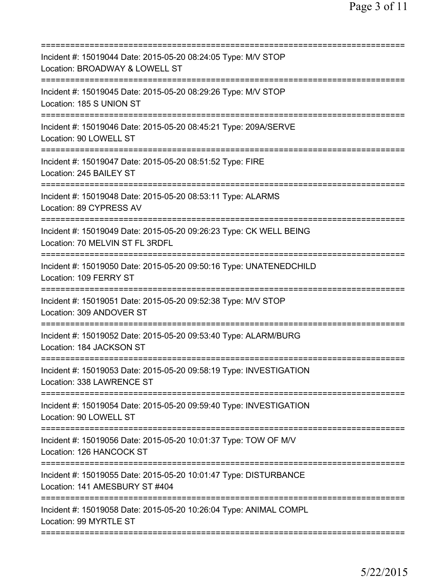| =====================================                                                                       |
|-------------------------------------------------------------------------------------------------------------|
| Incident #: 15019044 Date: 2015-05-20 08:24:05 Type: M/V STOP<br>Location: BROADWAY & LOWELL ST             |
| Incident #: 15019045 Date: 2015-05-20 08:29:26 Type: M/V STOP<br>Location: 185 S UNION ST                   |
| Incident #: 15019046 Date: 2015-05-20 08:45:21 Type: 209A/SERVE<br>Location: 90 LOWELL ST                   |
| Incident #: 15019047 Date: 2015-05-20 08:51:52 Type: FIRE<br>Location: 245 BAILEY ST                        |
| Incident #: 15019048 Date: 2015-05-20 08:53:11 Type: ALARMS<br>Location: 89 CYPRESS AV                      |
| Incident #: 15019049 Date: 2015-05-20 09:26:23 Type: CK WELL BEING<br>Location: 70 MELVIN ST FL 3RDFL       |
| -----------<br>Incident #: 15019050 Date: 2015-05-20 09:50:16 Type: UNATENEDCHILD<br>Location: 109 FERRY ST |
| Incident #: 15019051 Date: 2015-05-20 09:52:38 Type: M/V STOP<br>Location: 309 ANDOVER ST                   |
| Incident #: 15019052 Date: 2015-05-20 09:53:40 Type: ALARM/BURG<br>Location: 184 JACKSON ST                 |
| Incident #: 15019053 Date: 2015-05-20 09:58:19 Type: INVESTIGATION<br>Location: 338 LAWRENCE ST             |
| Incident #: 15019054 Date: 2015-05-20 09:59:40 Type: INVESTIGATION<br>Location: 90 LOWELL ST                |
| Incident #: 15019056 Date: 2015-05-20 10:01:37 Type: TOW OF M/V<br>Location: 126 HANCOCK ST                 |
| Incident #: 15019055 Date: 2015-05-20 10:01:47 Type: DISTURBANCE<br>Location: 141 AMESBURY ST #404          |
| Incident #: 15019058 Date: 2015-05-20 10:26:04 Type: ANIMAL COMPL<br>Location: 99 MYRTLE ST                 |
|                                                                                                             |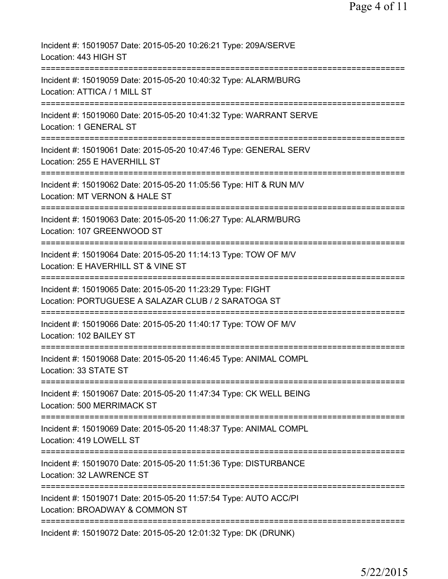| Incident #: 15019057 Date: 2015-05-20 10:26:21 Type: 209A/SERVE<br>Location: 443 HIGH ST                           |
|--------------------------------------------------------------------------------------------------------------------|
| Incident #: 15019059 Date: 2015-05-20 10:40:32 Type: ALARM/BURG<br>Location: ATTICA / 1 MILL ST                    |
| Incident #: 15019060 Date: 2015-05-20 10:41:32 Type: WARRANT SERVE<br>Location: 1 GENERAL ST                       |
| Incident #: 15019061 Date: 2015-05-20 10:47:46 Type: GENERAL SERV<br>Location: 255 E HAVERHILL ST                  |
| Incident #: 15019062 Date: 2015-05-20 11:05:56 Type: HIT & RUN M/V<br>Location: MT VERNON & HALE ST                |
| Incident #: 15019063 Date: 2015-05-20 11:06:27 Type: ALARM/BURG<br>Location: 107 GREENWOOD ST                      |
| Incident #: 15019064 Date: 2015-05-20 11:14:13 Type: TOW OF M/V<br>Location: E HAVERHILL ST & VINE ST<br>========= |
| Incident #: 15019065 Date: 2015-05-20 11:23:29 Type: FIGHT<br>Location: PORTUGUESE A SALAZAR CLUB / 2 SARATOGA ST  |
| Incident #: 15019066 Date: 2015-05-20 11:40:17 Type: TOW OF M/V<br>Location: 102 BAILEY ST                         |
| Incident #: 15019068 Date: 2015-05-20 11:46:45 Type: ANIMAL COMPL<br>Location: 33 STATE ST                         |
| Incident #: 15019067 Date: 2015-05-20 11:47:34 Type: CK WELL BEING<br>Location: 500 MERRIMACK ST                   |
| Incident #: 15019069 Date: 2015-05-20 11:48:37 Type: ANIMAL COMPL<br>Location: 419 LOWELL ST                       |
| Incident #: 15019070 Date: 2015-05-20 11:51:36 Type: DISTURBANCE<br>Location: 32 LAWRENCE ST                       |
| Incident #: 15019071 Date: 2015-05-20 11:57:54 Type: AUTO ACC/PI<br>Location: BROADWAY & COMMON ST                 |
| Incident #: 15019072 Date: 2015-05-20 12:01:32 Type: DK (DRUNK)                                                    |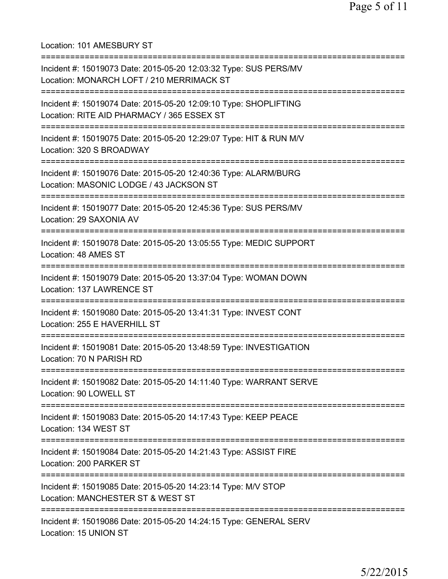Location: 101 AMESBURY ST =========================================================================== Incident #: 15019073 Date: 2015-05-20 12:03:32 Type: SUS PERS/MV Location: MONARCH LOFT / 210 MERRIMACK ST =========================================================================== Incident #: 15019074 Date: 2015-05-20 12:09:10 Type: SHOPLIFTING Location: RITE AID PHARMACY / 365 ESSEX ST =========================================================================== Incident #: 15019075 Date: 2015-05-20 12:29:07 Type: HIT & RUN M/V Location: 320 S BROADWAY =========================================================================== Incident #: 15019076 Date: 2015-05-20 12:40:36 Type: ALARM/BURG Location: MASONIC LODGE / 43 JACKSON ST =========================================================================== Incident #: 15019077 Date: 2015-05-20 12:45:36 Type: SUS PERS/MV Location: 29 SAXONIA AV =========================================================================== Incident #: 15019078 Date: 2015-05-20 13:05:55 Type: MEDIC SUPPORT Location: 48 AMES ST =========================================================================== Incident #: 15019079 Date: 2015-05-20 13:37:04 Type: WOMAN DOWN Location: 137 LAWRENCE ST =========================================================================== Incident #: 15019080 Date: 2015-05-20 13:41:31 Type: INVEST CONT Location: 255 E HAVERHILL ST =========================================================================== Incident #: 15019081 Date: 2015-05-20 13:48:59 Type: INVESTIGATION Location: 70 N PARISH RD =========================================================================== Incident #: 15019082 Date: 2015-05-20 14:11:40 Type: WARRANT SERVE Location: 90 LOWELL ST =========================================================================== Incident #: 15019083 Date: 2015-05-20 14:17:43 Type: KEEP PEACE Location: 134 WEST ST =========================================================================== Incident #: 15019084 Date: 2015-05-20 14:21:43 Type: ASSIST FIRE Location: 200 PARKER ST =========================================================================== Incident #: 15019085 Date: 2015-05-20 14:23:14 Type: M/V STOP Location: MANCHESTER ST & WEST ST =========================================================================== Incident #: 15019086 Date: 2015-05-20 14:24:15 Type: GENERAL SERV Location: 15 UNION ST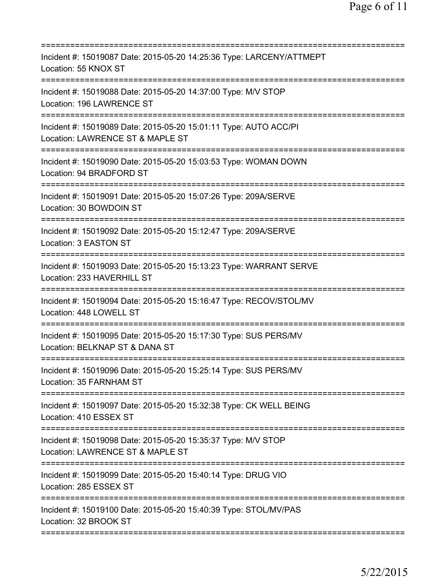| Incident #: 15019087 Date: 2015-05-20 14:25:36 Type: LARCENY/ATTMEPT<br>Location: 55 KNOX ST                                              |
|-------------------------------------------------------------------------------------------------------------------------------------------|
| Incident #: 15019088 Date: 2015-05-20 14:37:00 Type: M/V STOP<br>Location: 196 LAWRENCE ST                                                |
| Incident #: 15019089 Date: 2015-05-20 15:01:11 Type: AUTO ACC/PI<br>Location: LAWRENCE ST & MAPLE ST                                      |
| Incident #: 15019090 Date: 2015-05-20 15:03:53 Type: WOMAN DOWN<br>Location: 94 BRADFORD ST                                               |
| Incident #: 15019091 Date: 2015-05-20 15:07:26 Type: 209A/SERVE<br>Location: 30 BOWDOIN ST                                                |
| Incident #: 15019092 Date: 2015-05-20 15:12:47 Type: 209A/SERVE<br>Location: 3 EASTON ST                                                  |
| Incident #: 15019093 Date: 2015-05-20 15:13:23 Type: WARRANT SERVE<br>Location: 233 HAVERHILL ST<br>===================================== |
| Incident #: 15019094 Date: 2015-05-20 15:16:47 Type: RECOV/STOL/MV<br>Location: 448 LOWELL ST                                             |
| Incident #: 15019095 Date: 2015-05-20 15:17:30 Type: SUS PERS/MV<br>Location: BELKNAP ST & DANA ST                                        |
| Incident #: 15019096 Date: 2015-05-20 15:25:14 Type: SUS PERS/MV<br>Location: 35 FARNHAM ST                                               |
| Incident #: 15019097 Date: 2015-05-20 15:32:38 Type: CK WELL BEING<br>Location: 410 ESSEX ST                                              |
| Incident #: 15019098 Date: 2015-05-20 15:35:37 Type: M/V STOP<br>Location: LAWRENCE ST & MAPLE ST                                         |
| ==============================<br>Incident #: 15019099 Date: 2015-05-20 15:40:14 Type: DRUG VIO<br>Location: 285 ESSEX ST                 |
| Incident #: 15019100 Date: 2015-05-20 15:40:39 Type: STOL/MV/PAS<br>Location: 32 BROOK ST                                                 |
|                                                                                                                                           |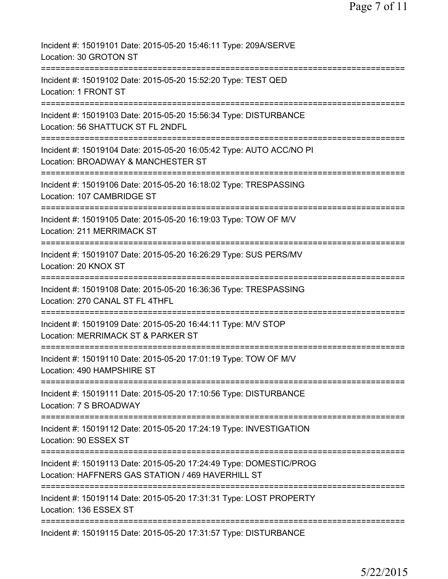| Incident #: 15019101 Date: 2015-05-20 15:46:11 Type: 209A/SERVE<br>Location: 30 GROTON ST                                      |
|--------------------------------------------------------------------------------------------------------------------------------|
| Incident #: 15019102 Date: 2015-05-20 15:52:20 Type: TEST QED<br>Location: 1 FRONT ST                                          |
| Incident #: 15019103 Date: 2015-05-20 15:56:34 Type: DISTURBANCE<br>Location: 56 SHATTUCK ST FL 2NDFL                          |
| Incident #: 15019104 Date: 2015-05-20 16:05:42 Type: AUTO ACC/NO PI<br>Location: BROADWAY & MANCHESTER ST                      |
| Incident #: 15019106 Date: 2015-05-20 16:18:02 Type: TRESPASSING<br>Location: 107 CAMBRIDGE ST                                 |
| Incident #: 15019105 Date: 2015-05-20 16:19:03 Type: TOW OF M/V<br>Location: 211 MERRIMACK ST                                  |
| Incident #: 15019107 Date: 2015-05-20 16:26:29 Type: SUS PERS/MV<br>Location: 20 KNOX ST                                       |
| Incident #: 15019108 Date: 2015-05-20 16:36:36 Type: TRESPASSING<br>Location: 270 CANAL ST FL 4THFL                            |
| Incident #: 15019109 Date: 2015-05-20 16:44:11 Type: M/V STOP<br>Location: MERRIMACK ST & PARKER ST                            |
| Incident #: 15019110 Date: 2015-05-20 17:01:19 Type: TOW OF M/V<br>Location: 490 HAMPSHIRE ST                                  |
| Incident #: 15019111 Date: 2015-05-20 17:10:56 Type: DISTURBANCE<br>Location: 7 S BROADWAY                                     |
| Incident #: 15019112 Date: 2015-05-20 17:24:19 Type: INVESTIGATION<br>Location: 90 ESSEX ST                                    |
| Incident #: 15019113 Date: 2015-05-20 17:24:49 Type: DOMESTIC/PROG<br>Location: HAFFNERS GAS STATION / 469 HAVERHILL ST        |
| ==============================<br>Incident #: 15019114 Date: 2015-05-20 17:31:31 Type: LOST PROPERTY<br>Location: 136 ESSEX ST |
| Incident #: 15019115 Date: 2015-05-20 17:31:57 Type: DISTURBANCE                                                               |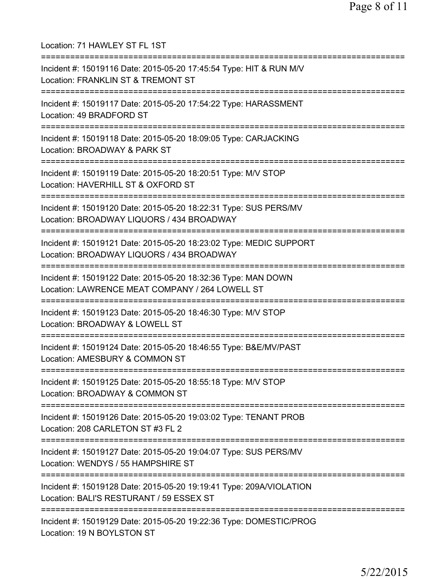Location: 71 HAWLEY ST FL 1ST =========================================================================== Incident #: 15019116 Date: 2015-05-20 17:45:54 Type: HIT & RUN M/V Location: FRANKLIN ST & TREMONT ST =========================================================================== Incident #: 15019117 Date: 2015-05-20 17:54:22 Type: HARASSMENT Location: 49 BRADFORD ST =========================================================================== Incident #: 15019118 Date: 2015-05-20 18:09:05 Type: CARJACKING Location: BROADWAY & PARK ST =========================================================================== Incident #: 15019119 Date: 2015-05-20 18:20:51 Type: M/V STOP Location: HAVERHILL ST & OXFORD ST =========================================================================== Incident #: 15019120 Date: 2015-05-20 18:22:31 Type: SUS PERS/MV Location: BROADWAY LIQUORS / 434 BROADWAY =========================================================================== Incident #: 15019121 Date: 2015-05-20 18:23:02 Type: MEDIC SUPPORT Location: BROADWAY LIQUORS / 434 BROADWAY =========================================================================== Incident #: 15019122 Date: 2015-05-20 18:32:36 Type: MAN DOWN Location: LAWRENCE MEAT COMPANY / 264 LOWELL ST =========================================================================== Incident #: 15019123 Date: 2015-05-20 18:46:30 Type: M/V STOP Location: BROADWAY & LOWELL ST =========================================================================== Incident #: 15019124 Date: 2015-05-20 18:46:55 Type: B&E/MV/PAST Location: AMESBURY & COMMON ST =========================================================================== Incident #: 15019125 Date: 2015-05-20 18:55:18 Type: M/V STOP Location: BROADWAY & COMMON ST =========================================================================== Incident #: 15019126 Date: 2015-05-20 19:03:02 Type: TENANT PROB Location: 208 CARLETON ST #3 FL 2 =========================================================================== Incident #: 15019127 Date: 2015-05-20 19:04:07 Type: SUS PERS/MV Location: WENDYS / 55 HAMPSHIRE ST =========================================================================== Incident #: 15019128 Date: 2015-05-20 19:19:41 Type: 209A/VIOLATION Location: BALI'S RESTURANT / 59 ESSEX ST =========================================================================== Incident #: 15019129 Date: 2015-05-20 19:22:36 Type: DOMESTIC/PROG Location: 19 N BOYLSTON ST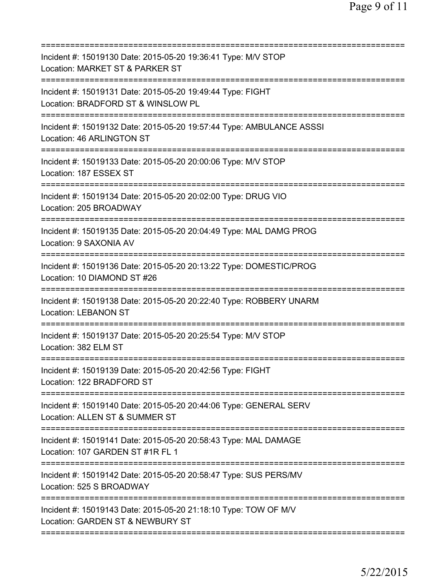| Incident #: 15019130 Date: 2015-05-20 19:36:41 Type: M/V STOP<br>Location: MARKET ST & PARKER ST<br>======================            |
|---------------------------------------------------------------------------------------------------------------------------------------|
| Incident #: 15019131 Date: 2015-05-20 19:49:44 Type: FIGHT<br>Location: BRADFORD ST & WINSLOW PL                                      |
| Incident #: 15019132 Date: 2015-05-20 19:57:44 Type: AMBULANCE ASSSI<br>Location: 46 ARLINGTON ST                                     |
| Incident #: 15019133 Date: 2015-05-20 20:00:06 Type: M/V STOP<br>Location: 187 ESSEX ST                                               |
| Incident #: 15019134 Date: 2015-05-20 20:02:00 Type: DRUG VIO<br>Location: 205 BROADWAY                                               |
| =====================================<br>Incident #: 15019135 Date: 2015-05-20 20:04:49 Type: MAL DAMG PROG<br>Location: 9 SAXONIA AV |
| Incident #: 15019136 Date: 2015-05-20 20:13:22 Type: DOMESTIC/PROG<br>Location: 10 DIAMOND ST #26                                     |
| Incident #: 15019138 Date: 2015-05-20 20:22:40 Type: ROBBERY UNARM<br><b>Location: LEBANON ST</b>                                     |
| Incident #: 15019137 Date: 2015-05-20 20:25:54 Type: M/V STOP<br>Location: 382 ELM ST                                                 |
| Incident #: 15019139 Date: 2015-05-20 20:42:56 Type: FIGHT<br>Location: 122 BRADFORD ST                                               |
| Incident #: 15019140 Date: 2015-05-20 20:44:06 Type: GENERAL SERV<br>Location: ALLEN ST & SUMMER ST                                   |
| Incident #: 15019141 Date: 2015-05-20 20:58:43 Type: MAL DAMAGE<br>Location: 107 GARDEN ST #1R FL 1                                   |
| Incident #: 15019142 Date: 2015-05-20 20:58:47 Type: SUS PERS/MV<br>Location: 525 S BROADWAY                                          |
| Incident #: 15019143 Date: 2015-05-20 21:18:10 Type: TOW OF M/V<br>Location: GARDEN ST & NEWBURY ST                                   |
|                                                                                                                                       |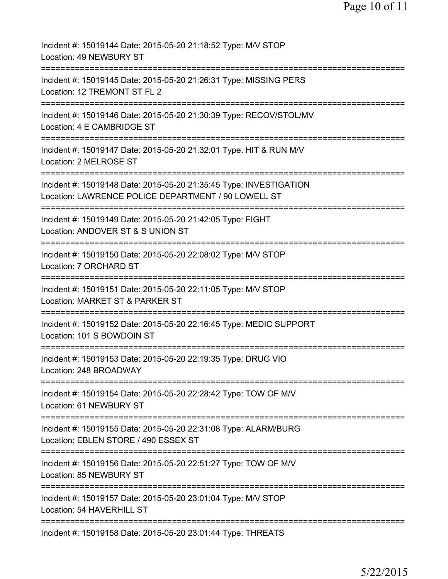| Incident #: 15019144 Date: 2015-05-20 21:18:52 Type: M/V STOP<br>Location: 49 NEWBURY ST                                  |
|---------------------------------------------------------------------------------------------------------------------------|
| Incident #: 15019145 Date: 2015-05-20 21:26:31 Type: MISSING PERS<br>Location: 12 TREMONT ST FL 2                         |
| Incident #: 15019146 Date: 2015-05-20 21:30:39 Type: RECOV/STOL/MV<br>Location: 4 E CAMBRIDGE ST                          |
| Incident #: 15019147 Date: 2015-05-20 21:32:01 Type: HIT & RUN M/V<br>Location: 2 MELROSE ST                              |
| Incident #: 15019148 Date: 2015-05-20 21:35:45 Type: INVESTIGATION<br>Location: LAWRENCE POLICE DEPARTMENT / 90 LOWELL ST |
| Incident #: 15019149 Date: 2015-05-20 21:42:05 Type: FIGHT<br>Location: ANDOVER ST & S UNION ST                           |
| ==========================<br>Incident #: 15019150 Date: 2015-05-20 22:08:02 Type: M/V STOP<br>Location: 7 ORCHARD ST     |
| Incident #: 15019151 Date: 2015-05-20 22:11:05 Type: M/V STOP<br>Location: MARKET ST & PARKER ST                          |
| Incident #: 15019152 Date: 2015-05-20 22:16:45 Type: MEDIC SUPPORT<br>Location: 101 S BOWDOIN ST                          |
| Incident #: 15019153 Date: 2015-05-20 22:19:35 Type: DRUG VIO<br>Location: 248 BROADWAY                                   |
| Incident #: 15019154 Date: 2015-05-20 22:28:42 Type: TOW OF M/V<br>Location: 61 NEWBURY ST                                |
| Incident #: 15019155 Date: 2015-05-20 22:31:08 Type: ALARM/BURG<br>Location: EBLEN STORE / 490 ESSEX ST                   |
| Incident #: 15019156 Date: 2015-05-20 22:51:27 Type: TOW OF M/V<br>Location: 85 NEWBURY ST                                |
| Incident #: 15019157 Date: 2015-05-20 23:01:04 Type: M/V STOP<br>Location: 54 HAVERHILL ST                                |
| Incident #: 15019158 Date: 2015-05-20 23:01:44 Type: THREATS                                                              |